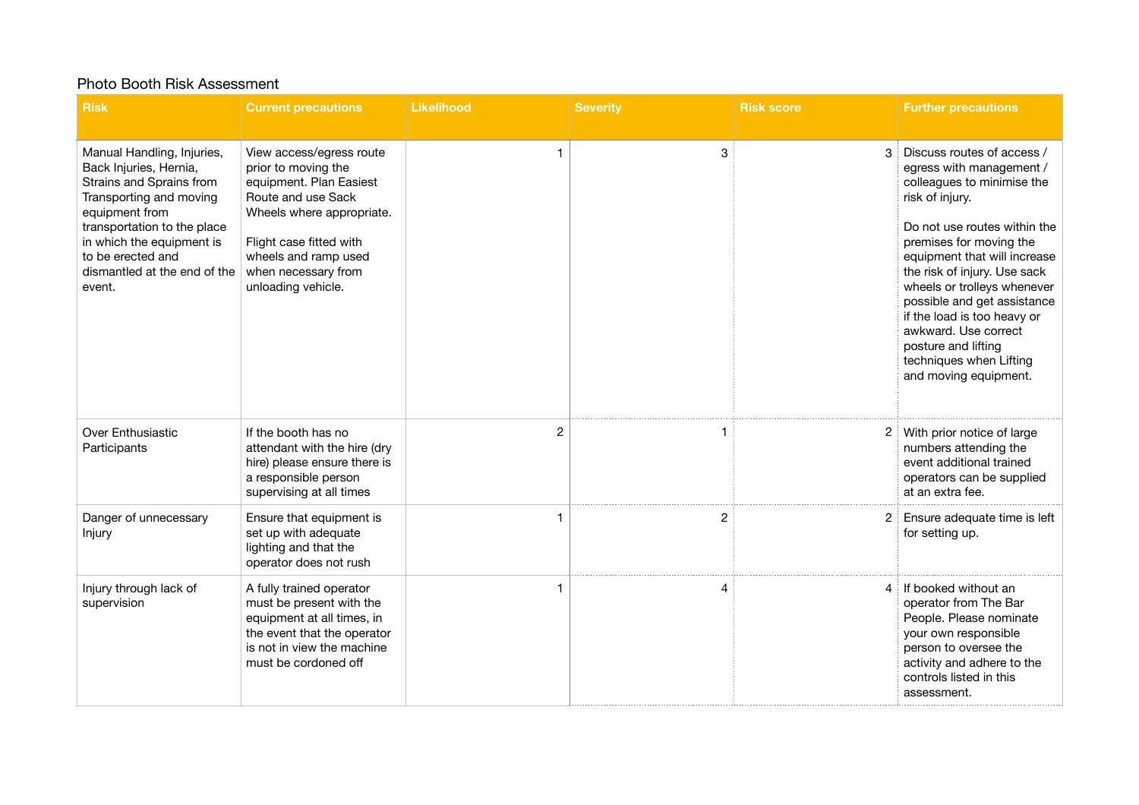## Photo Booth Risk Assessment

| <b>Risk</b>                                                                                                                                                                                                                                              | <b>Current precautions</b>                                                                                                                                                                                                    | <b>Likelihood</b> | <b>Severity</b> | <b>Risk score</b> | <b>Further precautions</b>                                                                                                                                                                                                                                                                                                                                                                                                         |
|----------------------------------------------------------------------------------------------------------------------------------------------------------------------------------------------------------------------------------------------------------|-------------------------------------------------------------------------------------------------------------------------------------------------------------------------------------------------------------------------------|-------------------|-----------------|-------------------|------------------------------------------------------------------------------------------------------------------------------------------------------------------------------------------------------------------------------------------------------------------------------------------------------------------------------------------------------------------------------------------------------------------------------------|
|                                                                                                                                                                                                                                                          |                                                                                                                                                                                                                               |                   |                 |                   |                                                                                                                                                                                                                                                                                                                                                                                                                                    |
| Manual Handling, Injuries,<br>Back Injuries, Hernia,<br>Strains and Sprains from<br>Transporting and moving<br>equipment from<br>transportation to the place<br>in which the equipment is<br>to be erected and<br>dismantled at the end of the<br>event. | View access/egress route<br>prior to moving the<br>equipment. Plan Easiest<br>Route and use Sack<br>Wheels where appropriate.<br>Flight case fitted with<br>wheels and ramp used<br>when necessary from<br>unloading vehicle. | 1                 | 3               | 3                 | Discuss routes of access /<br>egress with management /<br>colleagues to minimise the<br>risk of injury.<br>Do not use routes within the<br>premises for moving the<br>equipment that will increase<br>the risk of injury. Use sack<br>wheels or trolleys whenever<br>possible and get assistance<br>if the load is too heavy or<br>awkward. Use correct<br>posture and lifting<br>techniques when Lifting<br>and moving equipment. |
| Over Enthusiastic<br>Participants                                                                                                                                                                                                                        | If the booth has no<br>attendant with the hire (dry<br>hire) please ensure there is<br>a responsible person<br>supervising at all times                                                                                       | $\overline{2}$    |                 |                   | With prior notice of large<br>numbers attending the<br>event additional trained<br>operators can be supplied<br>at an extra fee.                                                                                                                                                                                                                                                                                                   |
| Danger of unnecessary<br>Injury                                                                                                                                                                                                                          | Ensure that equipment is<br>set up with adequate<br>lighting and that the<br>operator does not rush                                                                                                                           |                   | 2               | 2                 | Ensure adequate time is left<br>for setting up.                                                                                                                                                                                                                                                                                                                                                                                    |
| Injury through lack of<br>supervision                                                                                                                                                                                                                    | A fully trained operator<br>must be present with the<br>equipment at all times, in<br>the event that the operator<br>is not in view the machine<br>must be cordoned off                                                       |                   | Δ               | 4                 | If booked without an<br>operator from The Bar<br>People. Please nominate<br>your own responsible<br>person to oversee the<br>activity and adhere to the<br>controls listed in this<br>assessment.                                                                                                                                                                                                                                  |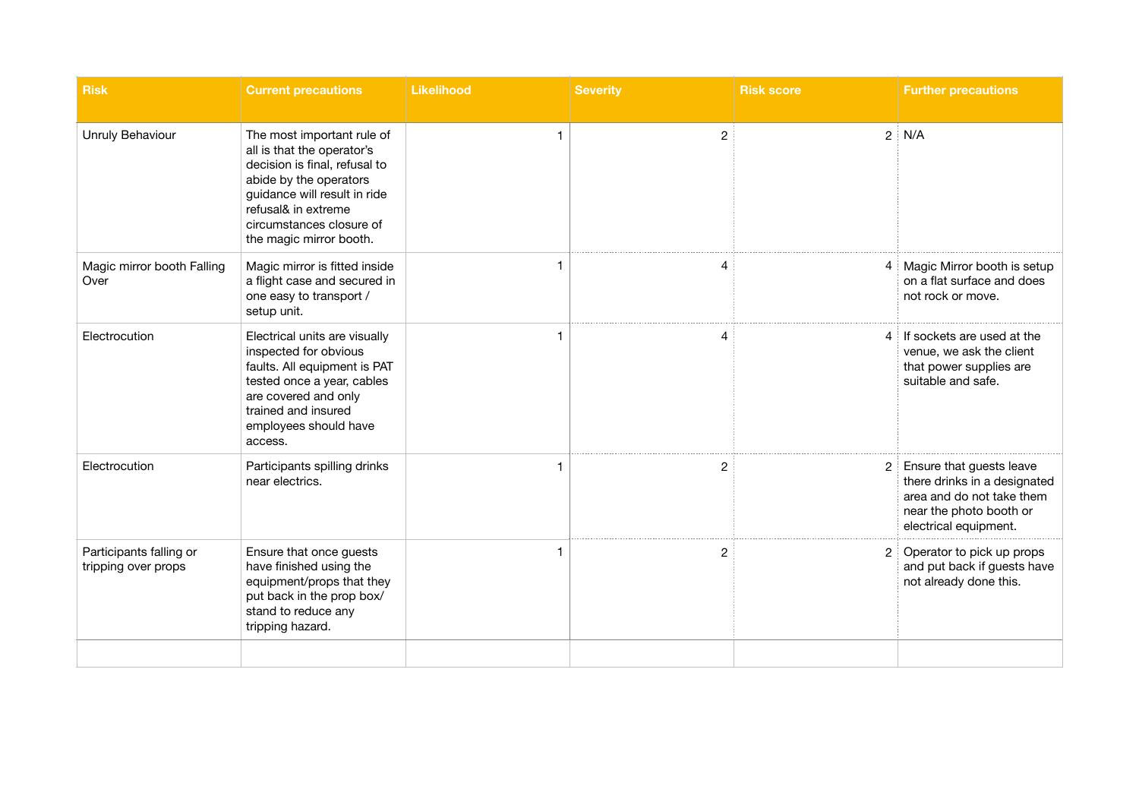| <b>Risk</b>                                    | <b>Current precautions</b>                                                                                                                                                                                                        | <b>Likelihood</b> | <b>Severity</b> | <b>Risk score</b>    | <b>Further precautions</b>                                                                                                                |
|------------------------------------------------|-----------------------------------------------------------------------------------------------------------------------------------------------------------------------------------------------------------------------------------|-------------------|-----------------|----------------------|-------------------------------------------------------------------------------------------------------------------------------------------|
| Unruly Behaviour                               | The most important rule of<br>all is that the operator's<br>decision is final, refusal to<br>abide by the operators<br>guidance will result in ride<br>refusal& in extreme<br>circumstances closure of<br>the magic mirror booth. | -1                | $\mathbf{2}$    |                      | $2 \nvert N/A$                                                                                                                            |
| Magic mirror booth Falling<br>Over             | Magic mirror is fitted inside<br>a flight case and secured in<br>one easy to transport /<br>setup unit.                                                                                                                           |                   |                 | 4                    | Magic Mirror booth is setup<br>on a flat surface and does<br>not rock or move.                                                            |
| Electrocution                                  | Electrical units are visually<br>inspected for obvious<br>faults. All equipment is PAT<br>tested once a year, cables<br>are covered and only<br>trained and insured<br>employees should have<br>access.                           |                   |                 | 4                    | If sockets are used at the<br>venue, we ask the client<br>that power supplies are<br>suitable and safe.                                   |
| Electrocution                                  | Participants spilling drinks<br>near electrics.                                                                                                                                                                                   |                   | 2               | $\mathbf{2}^{\circ}$ | Ensure that guests leave<br>there drinks in a designated<br>area and do not take them<br>near the photo booth or<br>electrical equipment. |
| Participants falling or<br>tripping over props | Ensure that once guests<br>have finished using the<br>equipment/props that they<br>put back in the prop box/<br>stand to reduce any<br>tripping hazard.                                                                           |                   | 2               | 2                    | Operator to pick up props<br>and put back if guests have<br>not already done this.                                                        |
|                                                |                                                                                                                                                                                                                                   |                   |                 |                      |                                                                                                                                           |